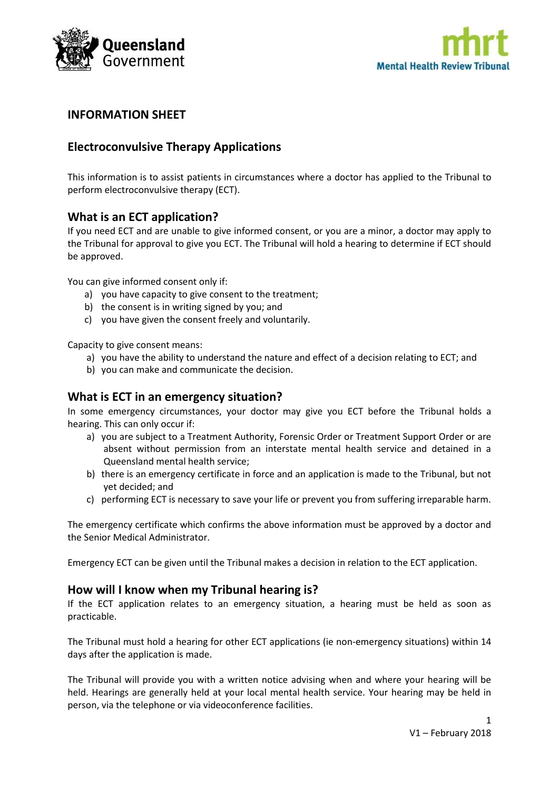



## **INFORMATION SHEET**

# **Electroconvulsive Therapy Applications**

This information is to assist patients in circumstances where a doctor has applied to the Tribunal to perform electroconvulsive therapy (ECT).

# **What is an ECT application?**

If you need ECT and are unable to give informed consent, or you are a minor, a doctor may apply to the Tribunal for approval to give you ECT. The Tribunal will hold a hearing to determine if ECT should be approved.

You can give informed consent only if:

- a) you have capacity to give consent to the treatment;
- b) the consent is in writing signed by you; and
- c) you have given the consent freely and voluntarily.

Capacity to give consent means:

- a) you have the ability to understand the nature and effect of a decision relating to ECT; and
- b) you can make and communicate the decision.

### **What is ECT in an emergency situation?**

In some emergency circumstances, your doctor may give you ECT before the Tribunal holds a hearing. This can only occur if:

- a) you are subject to a Treatment Authority, Forensic Order or Treatment Support Order or are absent without permission from an interstate mental health service and detained in a Queensland mental health service;
- b) there is an emergency certificate in force and an application is made to the Tribunal, but not yet decided; and
- c) performing ECT is necessary to save your life or prevent you from suffering irreparable harm.

The emergency certificate which confirms the above information must be approved by a doctor and the Senior Medical Administrator.

Emergency ECT can be given until the Tribunal makes a decision in relation to the ECT application.

### **How will I know when my Tribunal hearing is?**

If the ECT application relates to an emergency situation, a hearing must be held as soon as practicable.

The Tribunal must hold a hearing for other ECT applications (ie non-emergency situations) within 14 days after the application is made.

The Tribunal will provide you with a written notice advising when and where your hearing will be held. Hearings are generally held at your local mental health service. Your hearing may be held in person, via the telephone or via videoconference facilities.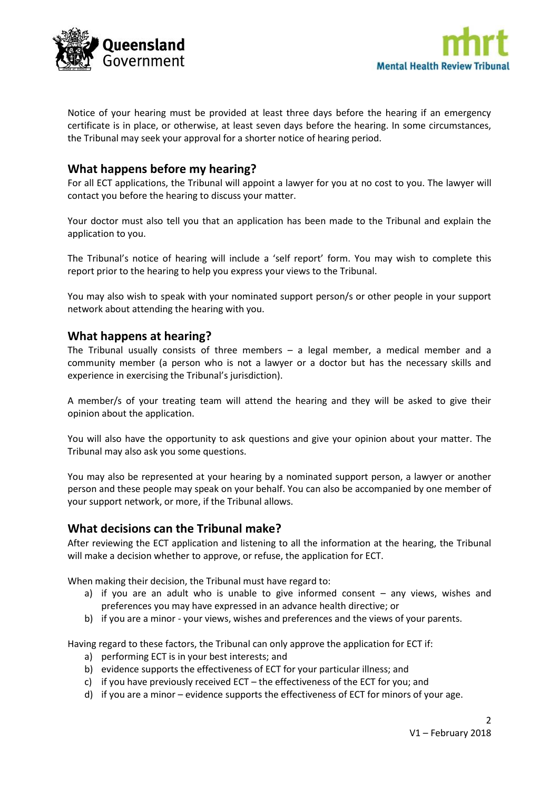



Notice of your hearing must be provided at least three days before the hearing if an emergency certificate is in place, or otherwise, at least seven days before the hearing. In some circumstances, the Tribunal may seek your approval for a shorter notice of hearing period.

## **What happens before my hearing?**

For all ECT applications, the Tribunal will appoint a lawyer for you at no cost to you. The lawyer will contact you before the hearing to discuss your matter.

Your doctor must also tell you that an application has been made to the Tribunal and explain the application to you.

The Tribunal's notice of hearing will include a 'self report' form. You may wish to complete this report prior to the hearing to help you express your views to the Tribunal.

You may also wish to speak with your nominated support person/s or other people in your support network about attending the hearing with you.

### **What happens at hearing?**

The Tribunal usually consists of three members  $-$  a legal member, a medical member and a community member (a person who is not a lawyer or a doctor but has the necessary skills and experience in exercising the Tribunal's jurisdiction).

A member/s of your treating team will attend the hearing and they will be asked to give their opinion about the application.

You will also have the opportunity to ask questions and give your opinion about your matter. The Tribunal may also ask you some questions.

You may also be represented at your hearing by a nominated support person, a lawyer or another person and these people may speak on your behalf. You can also be accompanied by one member of your support network, or more, if the Tribunal allows.

#### **What decisions can the Tribunal make?**

After reviewing the ECT application and listening to all the information at the hearing, the Tribunal will make a decision whether to approve, or refuse, the application for ECT.

When making their decision, the Tribunal must have regard to:

- a) if you are an adult who is unable to give informed consent any views, wishes and preferences you may have expressed in an advance health directive; or
- b) if you are a minor your views, wishes and preferences and the views of your parents.

Having regard to these factors, the Tribunal can only approve the application for ECT if:

- a) performing ECT is in your best interests; and
- b) evidence supports the effectiveness of ECT for your particular illness; and
- c) if you have previously received ECT the effectiveness of the ECT for you; and
- d) if you are a minor evidence supports the effectiveness of ECT for minors of your age.